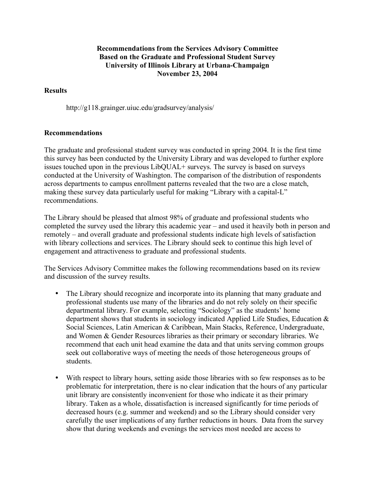## **Recommendations from the Services Advisory Committee Based on the Graduate and Professional Student Survey University of Illinois Library at Urbana-Champaign November 23, 2004**

## **Results**

http://g118.grainger.uiuc.edu/gradsurvey/analysis/

## **Recommendations**

The graduate and professional student survey was conducted in spring 2004. It is the first time this survey has been conducted by the University Library and was developed to further explore issues touched upon in the previous LibQUAL+ surveys. The survey is based on surveys conducted at the University of Washington. The comparison of the distribution of respondents across departments to campus enrollment patterns revealed that the two are a close match, making these survey data particularly useful for making "Library with a capital-L" recommendations.

The Library should be pleased that almost 98% of graduate and professional students who completed the survey used the library this academic year – and used it heavily both in person and remotely – and overall graduate and professional students indicate high levels of satisfaction with library collections and services. The Library should seek to continue this high level of engagement and attractiveness to graduate and professional students.

The Services Advisory Committee makes the following recommendations based on its review and discussion of the survey results.

- The Library should recognize and incorporate into its planning that many graduate and professional students use many of the libraries and do not rely solely on their specific departmental library. For example, selecting "Sociology" as the students' home department shows that students in sociology indicated Applied Life Studies, Education & Social Sciences, Latin American & Caribbean, Main Stacks, Reference, Undergraduate, and Women & Gender Resources libraries as their primary or secondary libraries. We recommend that each unit head examine the data and that units serving common groups seek out collaborative ways of meeting the needs of those heterogeneous groups of students.
- With respect to library hours, setting aside those libraries with so few responses as to be problematic for interpretation, there is no clear indication that the hours of any particular unit library are consistently inconvenient for those who indicate it as their primary library. Taken as a whole, dissatisfaction is increased significantly for time periods of decreased hours (e.g. summer and weekend) and so the Library should consider very carefully the user implications of any further reductions in hours. Data from the survey show that during weekends and evenings the services most needed are access to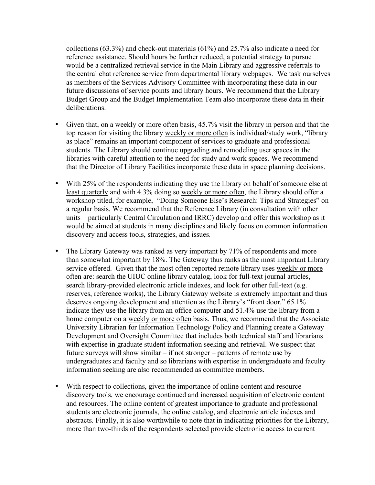collections (63.3%) and check-out materials (61%) and 25.7% also indicate a need for reference assistance. Should hours be further reduced, a potential strategy to pursue would be a centralized retrieval service in the Main Library and aggressive referrals to the central chat reference service from departmental library webpages. We task ourselves as members of the Services Advisory Committee with incorporating these data in our future discussions of service points and library hours. We recommend that the Library Budget Group and the Budget Implementation Team also incorporate these data in their deliberations.

- Given that, on a <u>weekly or more often</u> basis, 45.7% visit the library in person and that the top reason for visiting the library weekly or more often is individual/study work, "library as place" remains an important component of services to graduate and professional students. The Library should continue upgrading and remodeling user spaces in the libraries with careful attention to the need for study and work spaces. We recommend that the Director of Library Facilities incorporate these data in space planning decisions.
- With 25% of the respondents indicating they use the library on behalf of someone else at least quarterly and with 4.3% doing so weekly or more often, the Library should offer a workshop titled, for example, "Doing Someone Else's Research: Tips and Strategies" on a regular basis. We recommend that the Reference Library (in consultation with other units – particularly Central Circulation and IRRC) develop and offer this workshop as it would be aimed at students in many disciplines and likely focus on common information discovery and access tools, strategies, and issues.
- The Library Gateway was ranked as very important by 71% of respondents and more than somewhat important by 18%. The Gateway thus ranks as the most important Library service offered. Given that the most often reported remote library uses weekly or more often are: search the UIUC online library catalog, look for full-text journal articles, search library-provided electronic article indexes, and look for other full-text (e.g. reserves, reference works), the Library Gateway website is extremely important and thus deserves ongoing development and attention as the Library's "front door." 65.1% indicate they use the library from an office computer and 51.4% use the library from a home computer on a weekly or more often basis. Thus, we recommend that the Associate University Librarian for Information Technology Policy and Planning create a Gateway Development and Oversight Committee that includes both technical staff and librarians with expertise in graduate student information seeking and retrieval. We suspect that future surveys will show similar – if not stronger – patterns of remote use by undergraduates and faculty and so librarians with expertise in undergraduate and faculty information seeking are also recommended as committee members.
- With respect to collections, given the importance of online content and resource discovery tools, we encourage continued and increased acquisition of electronic content and resources. The online content of greatest importance to graduate and professional students are electronic journals, the online catalog, and electronic article indexes and abstracts. Finally, it is also worthwhile to note that in indicating priorities for the Library, more than two-thirds of the respondents selected provide electronic access to current